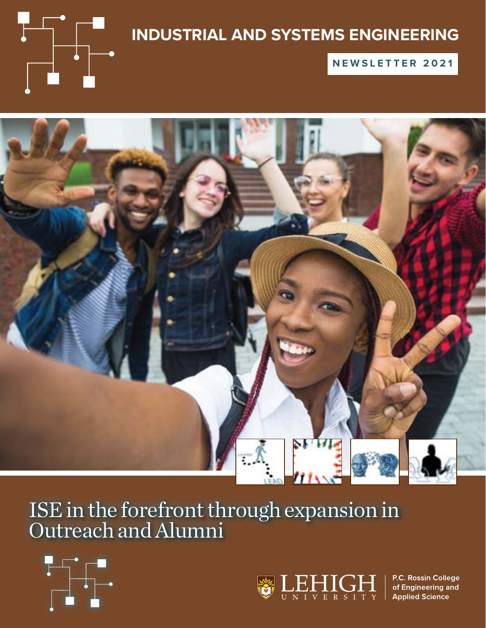

### **INDUSTRIAL AND SYSTEMS ENGINEERING**

**NEWSLETTER 2021**



## ISE in the forefront through expansion in Outreach and Alumni





P.C. Rossin College of Engineering and **Applied Science**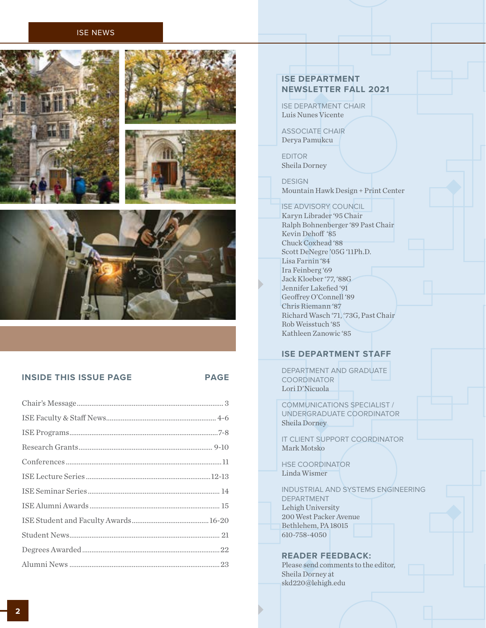#### ISE NEWS









**INSIDE THIS ISSUE PAGE PAGE**

### **ISE DEPARTMENT NEWSLETTER FALL 2021**

ISE DEPARTMENT CHAIR Luis Nunes Vicente

ASSOCIATE CHAIR Derya Pamukcu

EDITOR Sheila Dorney

DESIGN Mountain Hawk Design + Print Center

### ISE ADVISORY COUNCIL

Karyn Librader '95 Chair Ralph Bohnenberger '89 Past Chair Kevin Dehoff '85 Chuck Coxhead '88 Scott DeNegre '05G '11Ph.D. Lisa Farnin '84 Ira Feinberg '69 Jack Kloeber '77, '88G Jennifer Lakefied '91 Geoffrey O'Connell '89 Chris Riemann '87 Richard Wasch '71, '73G, Past Chair Rob Weisstuch '85 Kathleen Zanowic '85

### **ISE DEPARTMENT STAFF**

DEPARTMENT AND GRADUATE **COORDINATOR** Lori D'Nicuola

COMMUNICATIONS SPECIALIST / UNDERGRADUATE COORDINATOR Sheila Dorney

IT CLIENT SUPPORT COORDINATOR Mark Motsko

HSE COORDINATOR Linda Wismer

INDUSTRIAL AND SYSTEMS ENGINEERING DEPARTMENT Lehigh University 200 West Packer Avenue Bethlehem, PA 18015 610-758-4050

### **READER FEEDBACK:**

Please send comments to the editor, Sheila Dorney at skd220@lehigh.edu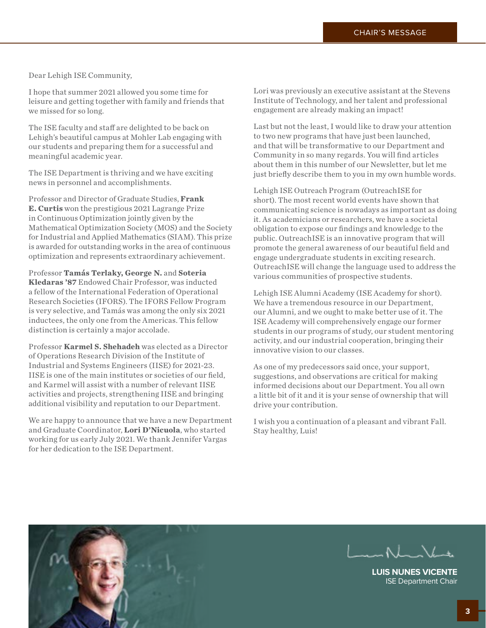<span id="page-2-0"></span>Dear Lehigh ISE Community,

I hope that summer 2021 allowed you some time for leisure and getting together with family and friends that we missed for so long.

The ISE faculty and staff are delighted to be back on Lehigh's beautiful campus at Mohler Lab engaging with our students and preparing them for a successful and meaningful academic year.

The ISE Department is thriving and we have exciting news in personnel and accomplishments.

Professor and Director of Graduate Studies, **Frank E. Curtis** won the prestigious 2021 Lagrange Prize in Continuous Optimization jointly given by the Mathematical Optimization Society (MOS) and the Society for Industrial and Applied Mathematics (SIAM). This prize is awarded for outstanding works in the area of continuous optimization and represents extraordinary achievement.

Professor **Tamás Terlaky, George N.** and **Soteria Kledaras '87** Endowed Chair Professor, was inducted a fellow of the International Federation of Operational Research Societies (IFORS). The IFORS Fellow Program is very selective, and Tamás was among the only six 2021 inductees, the only one from the Americas. This fellow distinction is certainly a major accolade.

Professor **Karmel S. Shehadeh** was elected as a Director of Operations Research Division of the Institute of Industrial and Systems Engineers (IISE) for 2021-23. IISE is one of the main institutes or societies of our field, and Karmel will assist with a number of relevant IISE activities and projects, strengthening IISE and bringing additional visibility and reputation to our Department.

We are happy to announce that we have a new Department and Graduate Coordinator, **Lori D'Nicuola**, who started working for us early July 2021. We thank Jennifer Vargas for her dedication to the ISE Department.

Lori was previously an executive assistant at the Stevens Institute of Technology, and her talent and professional engagement are already making an impact!

Last but not the least, I would like to draw your attention to two new programs that have just been launched, and that will be transformative to our Department and Community in so many regards. You will find articles about them in this number of our Newsletter, but let me just briefly describe them to you in my own humble words.

Lehigh ISE Outreach Program (OutreachISE for short). The most recent world events have shown that communicating science is nowadays as important as doing it. As academicians or researchers, we have a societal obligation to expose our findings and knowledge to the public. OutreachISE is an innovative program that will promote the general awareness of our beautiful field and engage undergraduate students in exciting research. OutreachISE will change the language used to address the various communities of prospective students.

Lehigh ISE Alumni Academy (ISE Academy for short). We have a tremendous resource in our Department, our Alumni, and we ought to make better use of it. The ISE Academy will comprehensively engage our former students in our programs of study, our student mentoring activity, and our industrial cooperation, bringing their innovative vision to our classes.

As one of my predecessors said once, your support, suggestions, and observations are critical for making informed decisions about our Department. You all own a little bit of it and it is your sense of ownership that will drive your contribution.

I wish you a continuation of a pleasant and vibrant Fall. Stay healthy, Luis!





**LUIS NUNES VICENTE** ISE Department Chair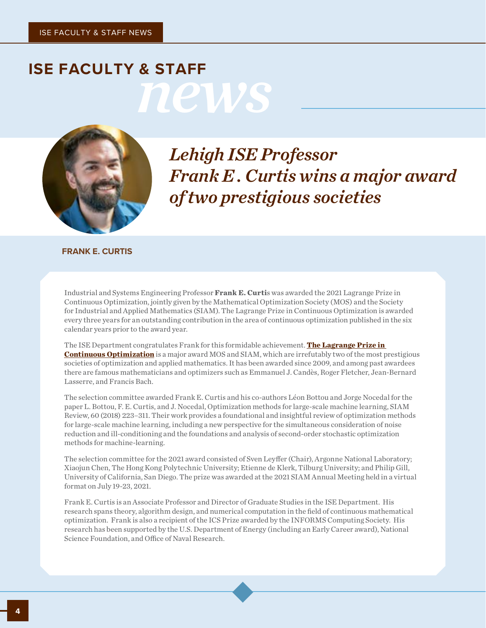# <span id="page-3-0"></span>*news* **ISE FACULTY & STAFF**



*Lehigh ISE Professor Frank E . Curtis wins a major award of two prestigious societies*

**FRANK E. CURTIS**

Industrial and Systems Engineering Professor **Frank E. Curti**s was awarded the 2021 Lagrange Prize in Continuous Optimization, jointly given by the Mathematical Optimization Society (MOS) and the Society for Industrial and Applied Mathematics (SIAM). The Lagrange Prize in Continuous Optimization is awarded every three years for an outstanding contribution in the area of continuous optimization published in the six calendar years prior to the award year.

The ISE Department congratulates Frank for this formidable achievement. **[The Lagrange Prize in](https://evoq-eval.siam.org/prizes-recognition/joint-prizes/detail/lagrange-prize-in-continuous-optimization)  [Continuous Optimization](https://evoq-eval.siam.org/prizes-recognition/joint-prizes/detail/lagrange-prize-in-continuous-optimization)** is a major award MOS and SIAM, which are irrefutably two of the most prestigious societies of optimization and applied mathematics. It has been awarded since 2009, and among past awardees there are famous mathematicians and optimizers such as Emmanuel J. Candès, Roger Fletcher, Jean-Bernard Lasserre, and Francis Bach.

The selection committee awarded Frank E. Curtis and his co-authors Léon Bottou and Jorge Nocedal for the paper L. Bottou, F. E. Curtis, and J. Nocedal, Optimization methods for large-scale machine learning, SIAM Review, 60 (2018) 223–311. Their work provides a foundational and insightful review of optimization methods for large-scale machine learning, including a new perspective for the simultaneous consideration of noise reduction and ill-conditioning and the foundations and analysis of second-order stochastic optimization methods for machine-learning.

The selection committee for the 2021 award consisted of Sven Leyffer (Chair), Argonne National Laboratory; Xiaojun Chen, The Hong Kong Polytechnic University; Etienne de Klerk, Tilburg University; and Philip Gill, University of California, San Diego. The prize was awarded at the 2021 SIAM Annual Meeting held in a virtual format on July 19-23, 2021.

Frank E. Curtis is an Associate Professor and Director of Graduate Studies in the ISE Department. His research spans theory, algorithm design, and numerical computation in the field of continuous mathematical optimization. Frank is also a recipient of the ICS Prize awarded by the INFORMS Computing Society. His research has been supported by the U.S. Department of Energy (including an Early Career award), National Science Foundation, and Office of Naval Research.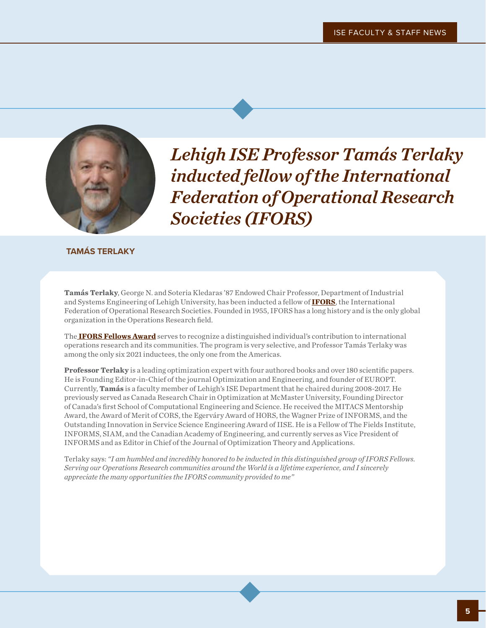

*Lehigh ISE Professor Tamás Terlaky inducted fellow of the International Federation of Operational Research Societies (IFORS)*

### **TAMÁS TERLAKY**

**Tamás Terlaky**, George N. and Soteria Kledaras '87 Endowed Chair Professor, Department of Industrial and Systems Engineering of Lehigh University, has been inducted a fellow of **[IFORS](https://www.ifors.org)**, the International Federation of Operational Research Societies. Founded in 1955, IFORS has a long history and is the only global organization in the Operations Research field.

The **[IFORS Fellows Award](https://www.ifors.org/ifors-fellows/)** serves to recognize a distinguished individual's contribution to international operations research and its communities. The program is very selective, and Professor Tamás Terlaky was among the only six 2021 inductees, the only one from the Americas.

**Professor Terlaky** is a leading optimization expert with four authored books and over 180 scientific papers. He is Founding Editor-in-Chief of the journal Optimization and Engineering, and founder of EUROPT. Currently, **Tamás** is a faculty member of Lehigh's ISE Department that he chaired during 2008-2017. He previously served as Canada Research Chair in Optimization at McMaster University, Founding Director of Canada's first School of Computational Engineering and Science. He received the MITACS Mentorship Award, the Award of Merit of CORS, the Egerváry Award of HORS, the Wagner Prize of INFORMS, and the Outstanding Innovation in Service Science Engineering Award of IISE. He is a Fellow of The Fields Institute, INFORMS, SIAM, and the Canadian Academy of Engineering, and currently serves as Vice President of INFORMS and as Editor in Chief of the Journal of Optimization Theory and Applications.

Terlaky says: *"I am humbled and incredibly honored to be inducted in this distinguished group of IFORS Fellows. Serving our Operations Research communities around the World is a lifetime experience, and I sincerely appreciate the many opportunities the IFORS community provided to me"*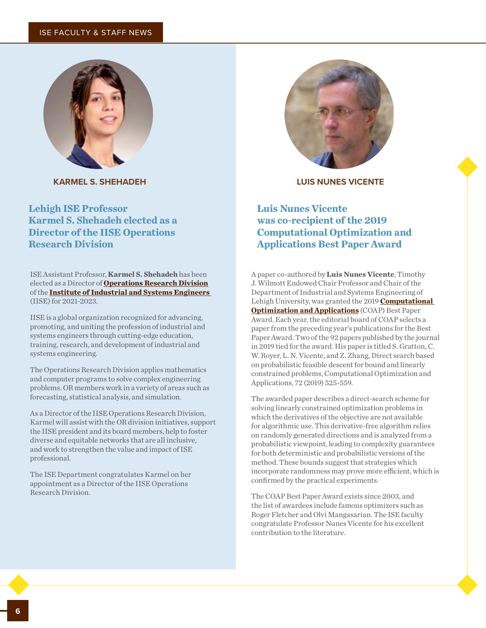### ISE FACULTY & STAFF NEWS



**KARMEL S. SHEHADEH LUIS NUNES VICENTE**

**Lehigh ISE Professor Karmel S. Shehadeh elected as a Director of the IISE Operations Research Division**

ISE Assistant Professor, **Karmel S. Shehadeh** has been elected as a Director of **[Operations Research Division](https://www.iise.org/details.aspx?id=882)** of the **[Institute of Industrial and Systems Engineers](https://www.iise.org/Home/)**  (IISE) for 2021-2023.

IISE is a global organization recognized for advancing, promoting, and uniting the profession of industrial and systems engineers through cutting-edge education, training, research, and development of industrial and systems engineering.

The Operations Research Division applies mathematics and computer programs to solve complex engineering problems. OR members work in a variety of areas such as forecasting, statistical analysis, and simulation.

As a Director of the IISE Operations Research Division, Karmel will assist with the OR division initiatives, support the IISE president and its board members, help to foster diverse and equitable networks that are all inclusive, and work to strengthen the value and impact of ISE professional.

The ISE Department congratulates Karmel on her appointment as a Director of the IISE Operations Research Division.



### **Luis Nunes Vicente was co-recipient of the 2019 Computational Optimization and Applications Best Paper Award**

A paper co-authored by **Luis Nunes Vicente**, Timothy J. Wilmott Endowed Chair Professor and Chair of the Department of Industrial and Systems Engineering of Lehigh University, was granted the 2019 **[Computational](https://www.springer.com/journal/10589)  [Optimization and Applications](https://www.springer.com/journal/10589)** (COAP) Best Paper Award. Each year, the editorial board of COAP selects a paper from the preceding year's publications for the Best Paper Award. Two of the 92 papers published by the journal in 2019 tied for the award. His paper is titled S. Gratton, C. W. Royer, L. N. Vicente, and Z. Zhang, Direct search based on probabilistic feasible descent for bound and linearly constrained problems, Computational Optimization and Applications, 72 (2019) 525-559.

The awarded paper describes a direct-search scheme for solving linearly constrained optimization problems in which the derivatives of the objective are not available for algorithmic use. This derivative-free algorithm relies on randomly generated directions and is analyzed from a probabilistic viewpoint, leading to complexity guarantees for both deterministic and probabilistic versions of the method. These bounds suggest that strategies which incorporate randomness may prove more efficient, which is confirmed by the practical experiments.

The COAP Best Paper Award exists since 2003, and the list of awardees include famous optimizers such as Roger Fletcher and Olvi Mangasarian. The ISE faculty congratulate Professor Nunes Vicente for his excellent contribution to the literature.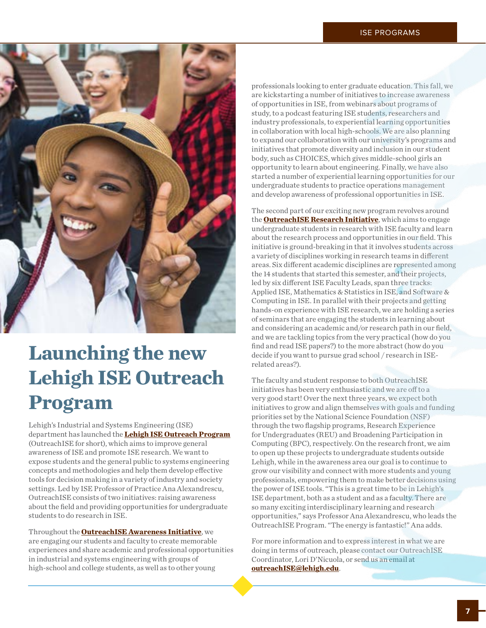

# **Launching the new Lehigh ISE Outreach Program**

Lehigh's Industrial and Systems Engineering (ISE) department has launched the **[Lehigh ISE Outreach Program](https://engineering.lehigh.edu/ise/outreach)** (OutreachISE for short), which aims to improve general awareness of ISE and promote ISE research. We want to expose students and the general public to systems engineering concepts and methodologies and help them develop effective tools for decision making in a variety of industry and society settings. Led by ISE Professor of Practice Ana Alexandrescu, OutreachISE consists of two initiatives: raising awareness about the field and providing opportunities for undergraduate students to do research in ISE.

Throughout the **[OutreachISE Awareness Initiative](https://engineering.lehigh.edu/ise/industry/outreach-awareness)**, we are engaging our students and faculty to create memorable experiences and share academic and professional opportunities in industrial and systems engineering with groups of high-school and college students, as well as to other young

professionals looking to enter graduate education. This fall, we are kickstarting a number of initiatives to increase awareness of opportunities in ISE, from webinars about programs of study, to a podcast featuring ISE students, researchers and industry professionals, to experiential learning opportunities in collaboration with local high-schools. We are also planning to expand our collaboration with our university's programs and initiatives that promote diversity and inclusion in our student body, such as CHOICES, which gives middle-school girls an opportunity to learn about engineering. Finally, we have also started a number of experiential learning opportunities for our undergraduate students to practice operations management and develop awareness of professional opportunities in ISE.

The second part of our exciting new program revolves around the **[OutreachISE Research Initiative](https://engineering.lehigh.edu/ise/research/outreach-research)**, which aims to engage undergraduate students in research with ISE faculty and learn about the research process and opportunities in our field. This initiative is ground-breaking in that it involves students across a variety of disciplines working in research teams in different areas. Six different academic disciplines are represented among the 14 students that started this semester, and their projects, led by six different ISE Faculty Leads, span three tracks: Applied ISE, Mathematics & Statistics in ISE, and Software & Computing in ISE. In parallel with their projects and getting hands-on experience with ISE research, we are holding a series of seminars that are engaging the students in learning about and considering an academic and/or research path in our field, and we are tackling topics from the very practical (how do you find and read ISE papers?) to the more abstract (how do you decide if you want to pursue grad school / research in ISErelated areas?).

The faculty and student response to both OutreachISE initiatives has been very enthusiastic and we are off to a very good start! Over the next three years, we expect both initiatives to grow and align themselves with goals and funding priorities set by the National Science Foundation (NSF) through the two flagship programs, Research Experience for Undergraduates (REU) and Broadening Participation in Computing (BPC), respectively. On the research front, we aim to open up these projects to undergraduate students outside Lehigh, while in the awareness area our goal is to continue to grow our visibility and connect with more students and young professionals, empowering them to make better decisions using the power of ISE tools. "This is a great time to be in Lehigh's ISE department, both as a student and as a faculty. There are so many exciting interdisciplinary learning and research opportunities," says Professor Ana Alexandrescu, who leads the OutreachISE Program. "The energy is fantastic!" Ana adds.

For more information and to express interest in what we are doing in terms of outreach, please contact our OutreachISE Coordinator, Lori D'Nicuola, or send us an email at **<outreachISE@lehigh.edu>**.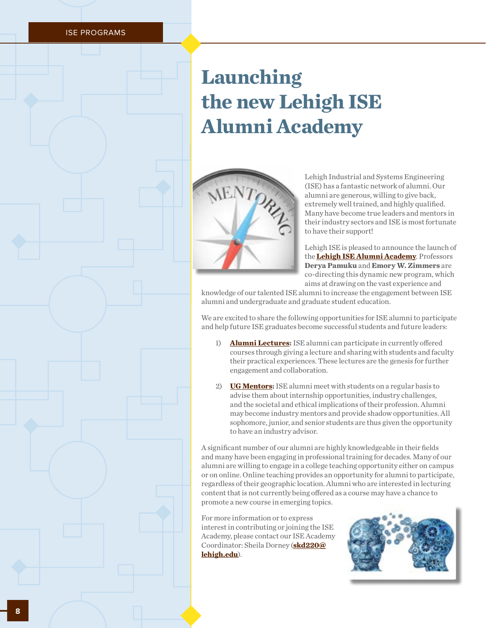ISE PROGRAMS

# **Launching the new Lehigh ISE Alumni Academy**



Lehigh Industrial and Systems Engineering (ISE) has a fantastic network of alumni. Our alumni are generous, willing to give back, extremely well trained, and highly qualified. Many have become true leaders and mentors in their industry sectors and ISE is most fortunate to have their support!

Lehigh ISE is pleased to announce the launch of the **[Lehigh ISE Alumni Academy](https://engineering.lehigh.edu/ise/academy)**. Professors **Derya Pamuku** and **Emory W. Zimmers** are co-directing this dynamic new program, which aims at drawing on the vast experience and

knowledge of our talented ISE alumni to increase the engagement between ISE alumni and undergraduate and graduate student education.

We are excited to share the following opportunities for ISE alumni to participate and help future ISE graduates become successful students and future leaders:

- 1) **[Alumni Lectures:](https://engineering.lehigh.edu/ise/lehigh-ise-alumni-lectures)** ISE alumni can participate in currently offered courses through giving a lecture and sharing with students and faculty their practical experiences. These lectures are the genesis for further engagement and collaboration.
- 2) **[UG Mentors](https://engineering.lehigh.edu/ise/lehigh-ise-alumni-mentor-program):** ISE alumni meet with students on a regular basis to advise them about internship opportunities, industry challenges, and the societal and ethical implications of their profession. Alumni may become industry mentors and provide shadow opportunities. All sophomore, junior, and senior students are thus given the opportunity to have an industry advisor.

A significant number of our alumni are highly knowledgeable in their fields and many have been engaging in professional training for decades. Many of our alumni are willing to engage in a college teaching opportunity either on campus or on online. Online teaching provides an opportunity for alumni to participate, regardless of their geographic location. Alumni who are interested in lecturing content that is not currently being offered as a course may have a chance to promote a new course in emerging topics.

For more information or to express interest in contributing or joining the ISE Academy, please contact our ISE Academy Coordinator: Sheila Dorney (**[skd220@](http://skd220@lehigh.edu) [lehigh.edu](http://skd220@lehigh.edu)**).

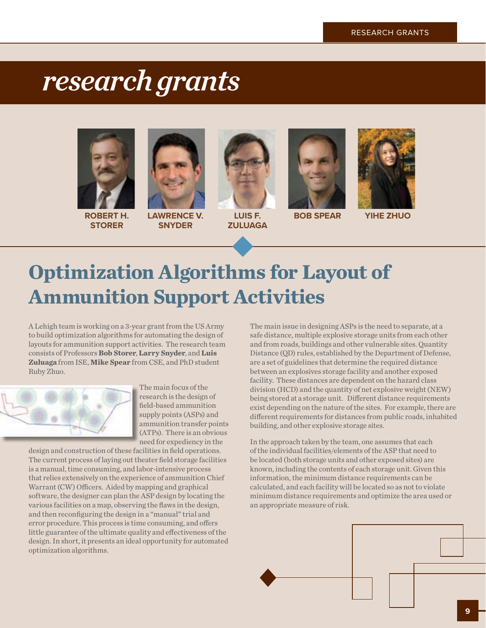# <span id="page-8-0"></span>*research grants*





**ROBERT H. STORER**

**LAWRENCE V. SNYDER**



**LUIS F. ZULUAGA**



**BOB SPEAR YIHE ZHUO**



# **Optimization Algorithms for Layout of Ammunition Support Activities**

A Lehigh team is working on a 3-year grant from the US Army to build optimization algorithms for automating the design of layouts for ammunition support activities. The research team consists of Professors **Bob Storer**, **Larry Snyder**, and **Luis Zuluaga** from ISE, **Mike Spear** from CSE, and PhD student Ruby Zhuo.



The main focus of the research is the design of field-based ammunition supply points (ASPs) and ammunition transfer points (ATPs). There is an obvious need for expediency in the

design and construction of these facilities in field operations. The current process of laying out theater field storage facilities is a manual, time consuming, and labor-intensive process that relies extensively on the experience of ammunition Chief Warrant (CW) Officers. Aided by mapping and graphical software, the designer can plan the ASP design by locating the various facilities on a map, observing the flaws in the design, and then reconfiguring the design in a "manual" trial and error procedure. This process is time consuming, and offers little guarantee of the ultimate quality and effectiveness of the design. In short, it presents an ideal opportunity for automated optimization algorithms.

The main issue in designing ASPs is the need to separate, at a safe distance, multiple explosive storage units from each other and from roads, buildings and other vulnerable sites. Quantity Distance (QD) rules, established by the Department of Defense, are a set of guidelines that determine the required distance between an explosives storage facility and another exposed facility. These distances are dependent on the hazard class division (HCD) and the quantity of net explosive weight (NEW) being stored at a storage unit. Different distance requirements exist depending on the nature of the sites. For example, there are different requirements for distances from public roads, inhabited building, and other explosive storage sites.

In the approach taken by the team, one assumes that each of the individual facilities/elements of the ASP that need to be located (both storage units and other exposed sites) are known, including the contents of each storage unit. Given this information, the minimum distance requirements can be calculated, and each facility will be located so as not to violate minimum distance requirements and optimize the area used or an appropriate measure of risk.

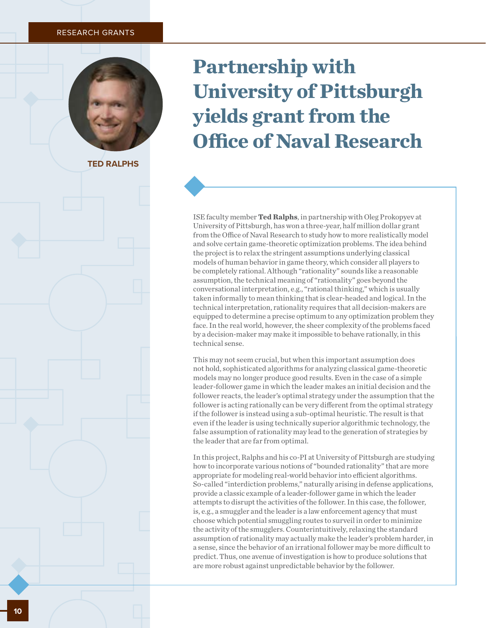#### <span id="page-9-0"></span>RESEARCH GRANTS



**TED RALPHS**

# **Partnership with University of Pittsburgh yields grant from the Office of Naval Research**

ISE faculty member **Ted Ralphs**, in partnership with Oleg Prokopyev at University of Pittsburgh, has won a three-year, half million dollar grant from the Office of Naval Research to study how to more realistically model and solve certain game-theoretic optimization problems. The idea behind the project is to relax the stringent assumptions underlying classical models of human behavior in game theory, which consider all players to be completely rational. Although "rationality" sounds like a reasonable assumption, the technical meaning of "rationality" goes beyond the conversational interpretation, e.g., "rational thinking," which is usually taken informally to mean thinking that is clear-headed and logical. In the technical interpretation, rationality requires that all decision-makers are equipped to determine a precise optimum to any optimization problem they face. In the real world, however, the sheer complexity of the problems faced by a decision-maker may make it impossible to behave rationally, in this technical sense.

This may not seem crucial, but when this important assumption does not hold, sophisticated algorithms for analyzing classical game-theoretic models may no longer produce good results. Even in the case of a simple leader-follower game in which the leader makes an initial decision and the follower reacts, the leader's optimal strategy under the assumption that the follower is acting rationally can be very different from the optimal strategy if the follower is instead using a sub-optimal heuristic. The result is that even if the leader is using technically superior algorithmic technology, the false assumption of rationality may lead to the generation of strategies by the leader that are far from optimal.

In this project, Ralphs and his co-PI at University of Pittsburgh are studying how to incorporate various notions of "bounded rationality" that are more appropriate for modeling real-world behavior into efficient algorithms. So-called "interdiction problems," naturally arising in defense applications, provide a classic example of a leader-follower game in which the leader attempts to disrupt the activities of the follower. In this case, the follower, is, e.g., a smuggler and the leader is a law enforcement agency that must choose which potential smuggling routes to surveil in order to minimize the activity of the smugglers. Counterintuitively, relaxing the standard assumption of rationality may actually make the leader's problem harder, in a sense, since the behavior of an irrational follower may be more difficult to predict. Thus, one avenue of investigation is how to produce solutions that are more robust against unpredictable behavior by the follower.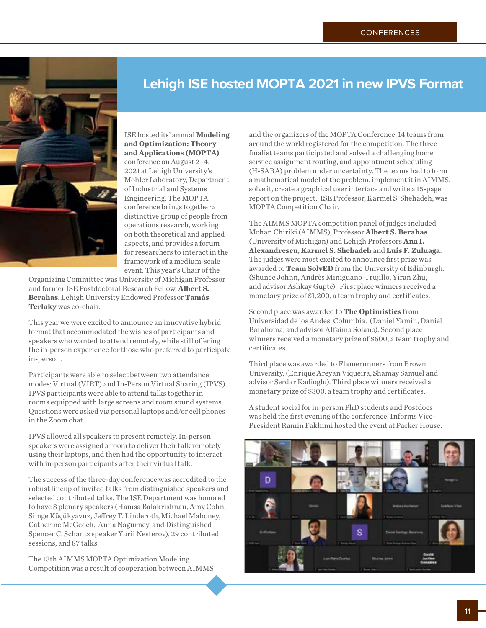<span id="page-10-0"></span>

ISE hosted its' annual **Modeling and Optimization: Theory and Applications (MOPTA)** conference on August 2 -4, 2021 at Lehigh University's Mohler Laboratory, Department of Industrial and Systems Engineering. The MOPTA conference brings together a distinctive group of people from operations research, working on both theoretical and applied aspects, and provides a forum for researchers to interact in the framework of a medium-scale event. This year's Chair of the

Organizing Committee was University of Michigan Professor and former ISE Postdoctoral Research Fellow, **Albert S. Berahas**. Lehigh University Endowed Professor **Tamás Terlaky** was co-chair.

This year we were excited to announce an innovative hybrid format that accommodated the wishes of participants and speakers who wanted to attend remotely, while still offering the in-person experience for those who preferred to participate in-person.

Participants were able to select between two attendance modes: Virtual (VIRT) and In-Person Virtual Sharing (IPVS). IPVS participants were able to attend talks together in rooms equipped with large screens and room sound systems. Questions were asked via personal laptops and/or cell phones in the Zoom chat.

IPVS allowed all speakers to present remotely. In-person speakers were assigned a room to deliver their talk remotely using their laptops, and then had the opportunity to interact with in-person participants after their virtual talk.

The success of the three-day conference was accredited to the robust lineup of invited talks from distinguished speakers and selected contributed talks. The ISE Department was honored to have 8 plenary speakers (Hamsa Balakrishnan, Amy Cohn, Simge Küçükyavuz, Jeffrey T. Linderoth, Michael Mahoney, Catherine McGeoch, Anna Nagurney, and Distinguished Spencer C. Schantz speaker Yurii Nesterov), 29 contributed sessions, and 87 talks.

The 13th AIMMS MOPTA Optimization Modeling Competition was a result of cooperation between AIMMS

### **Lehigh ISE hosted MOPTA 2021 in new IPVS Format**

and the organizers of the MOPTA Conference. 14 teams from around the world registered for the competition. The three finalist teams participated and solved a challenging home service assignment routing, and appointment scheduling (H-SARA) problem under uncertainty. The teams had to form a mathematical model of the problem, implement it in AIMMS, solve it, create a graphical user interface and write a 15-page report on the project. ISE Professor, Karmel S. Shehadeh, was MOPTA Competition Chair.

The AIMMS MOPTA competition panel of judges included Mohan Chiriki (AIMMS), Professor **Albert S. Berahas** (University of Michigan) and Lehigh Professors **Ana I. Alexandrescu**, **Karmel S. Shehadeh** and **Luis F. Zuluaga**. The judges were most excited to announce first prize was awarded to **Team SolvED** from the University of Edinburgh. (Shunee Johnn, Andrès Miniguano-Trujillo, Yiran Zhu, and advisor Ashkay Gupte). First place winners received a monetary prize of \$1,200, a team trophy and certificates.

Second place was awarded to **The Optimistics** from Universidad de los Andes, Columbia. (Daniel Yamin, Daniel Barahoma, and advisor Alfaima Solano). Second place winners received a monetary prize of \$600, a team trophy and certificates.

Third place was awarded to Flamerunners from Brown University, (Enrique Areyan Viqueira, Shamay Samuel and advisor Serdar Kadioglu). Third place winners received a monetary prize of \$300, a team trophy and certificates.

A student social for in-person PhD students and Postdocs was held the first evening of the conference. Informs Vice-President Ramin Fakhimi hosted the event at Packer House.

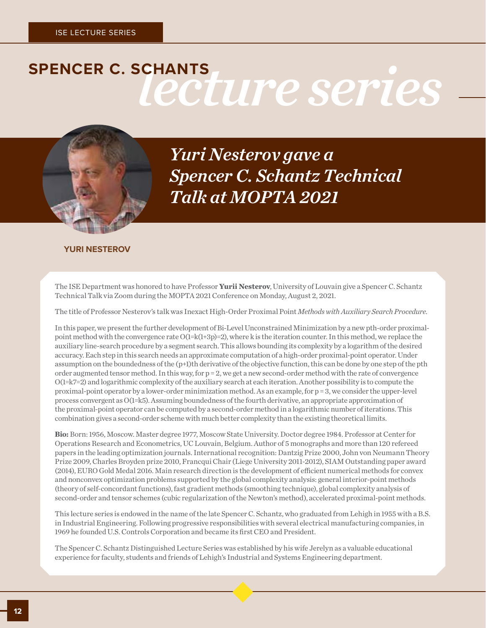# SPENCER C. SCHANTS<br>
Lecture series



*Yuri Nesterov gave a Spencer C. Schantz Technical Talk at MOPTA 2021*

### **YURI NESTEROV**

The ISE Department was honored to have Professor **Yurii Nesterov**, University of Louvain give a Spencer C. Schantz Technical Talk via Zoom during the MOPTA 2021 Conference on Monday, August 2, 2021.

The title of Professor Nesterov's talk was Inexact High-Order Proximal Point *Methods with Auxiliary Search Procedure.*

In this paper, we present the further development of Bi-Level Unconstrained Minimization by a new pth-order proximalpoint method with the convergence rate O(1=k(1+3p)=2), where k is the iteration counter. In this method, we replace the auxiliary line-search procedure by a segment search. This allows bounding its complexity by a logarithm of the desired accuracy. Each step in this search needs an approximate computation of a high-order proximal-point operator. Under assumption on the boundedness of the (p+1)th derivative of the objective function, this can be done by one step of the pth order augmented tensor method. In this way, for p = 2, we get a new second-order method with the rate of convergence O(1=k7=2) and logarithmic complexity of the auxiliary search at each iteration. Another possibility is to compute the proximal-point operator by a lower-order minimization method. As an example, for p = 3, we consider the upper-level process convergent as O(1=k5). Assuming boundedness of the fourth derivative, an appropriate approximation of the proximal-point operator can be computed by a second-order method in a logarithmic number of iterations. This combination gives a second-order scheme with much better complexity than the existing theoretical limits.

**Bio:** Born: 1956, Moscow. Master degree 1977, Moscow State University. Doctor degree 1984. Professor at Center for Operations Research and Econometrics, UC Louvain, Belgium. Author of 5 monographs and more than 120 refereed papers in the leading optimization journals. International recognition: Dantzig Prize 2000, John von Neumann Theory Prize 2009, Charles Broyden prize 2010, Francqui Chair (Liege University 2011-2012), SIAM Outstanding paper award (2014), EURO Gold Medal 2016. Main research direction is the development of efficient numerical methods for convex and nonconvex optimization problems supported by the global complexity analysis: general interior-point methods (theory of self-concordant functions), fast gradient methods (smoothing technique), global complexity analysis of second-order and tensor schemes (cubic regularization of the Newton's method), accelerated proximal-point methods.

This lecture series is endowed in the name of the late Spencer C. Schantz, who graduated from Lehigh in 1955 with a B.S. in Industrial Engineering. Following progressive responsibilities with several electrical manufacturing companies, in 1969 he founded U.S. Controls Corporation and became its first CEO and President.

The Spencer C. Schantz Distinguished Lecture Series was established by his wife Jerelyn as a valuable educational experience for faculty, students and friends of Lehigh's Industrial and Systems Engineering department.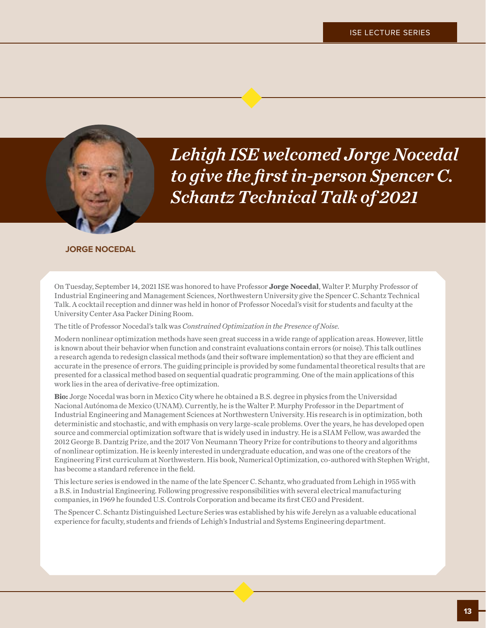

*Lehigh ISE welcomed Jorge Nocedal to give the first in-person Spencer C. Schantz Technical Talk of 2021*

### **JORGE NOCEDAL**

On Tuesday, September 14, 2021 ISE was honored to have Professor **Jorge Nocedal**, Walter P. Murphy Professor of Industrial Engineering and Management Sciences, Northwestern University give the Spencer C. Schantz Technical Talk. A cocktail reception and dinner was held in honor of Professor Nocedal's visit for students and faculty at the University Center Asa Packer Dining Room.

The title of Professor Nocedal's talk was *Constrained Optimization in the Presence of Noise*.

Modern nonlinear optimization methods have seen great success in a wide range of application areas. However, little is known about their behavior when function and constraint evaluations contain errors (or noise). This talk outlines a research agenda to redesign classical methods (and their software implementation) so that they are efficient and accurate in the presence of errors. The guiding principle is provided by some fundamental theoretical results that are presented for a classical method based on sequential quadratic programming. One of the main applications of this work lies in the area of derivative-free optimization.

**Bio:** Jorge Nocedal was born in Mexico City where he obtained a B.S. degree in physics from the Universidad Nacional Autónoma de Mexico (UNAM). Currently, he is the Walter P. Murphy Professor in the Department of Industrial Engineering and Management Sciences at Northwestern University. His research is in optimization, both deterministic and stochastic, and with emphasis on very large-scale problems. Over the years, he has developed open source and commercial optimization software that is widely used in industry. He is a SIAM Fellow, was awarded the 2012 George B. Dantzig Prize, and the 2017 Von Neumann Theory Prize for contributions to theory and algorithms of nonlinear optimization. He is keenly interested in undergraduate education, and was one of the creators of the Engineering First curriculum at Northwestern. His book, Numerical Optimization, co-authored with Stephen Wright, has become a standard reference in the field.

This lecture series is endowed in the name of the late Spencer C. Schantz, who graduated from Lehigh in 1955 with a B.S. in Industrial Engineering. Following progressive responsibilities with several electrical manufacturing companies, in 1969 he founded U.S. Controls Corporation and became its first CEO and President.

The Spencer C. Schantz Distinguished Lecture Series was established by his wife Jerelyn as a valuable educational experience for faculty, students and friends of Lehigh's Industrial and Systems Engineering department.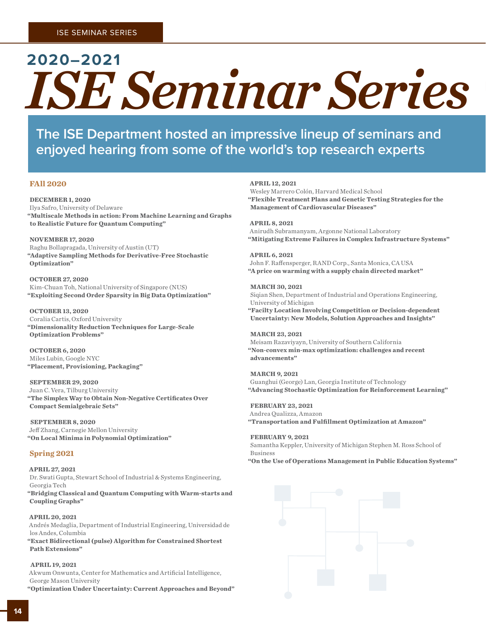# **2020–2021** *ISE Seminar Series*

**The ISE Department hosted an impressive lineup of seminars and enjoyed hearing from some of the world's top research experts**

### **FAll 2020**

#### **DECEMBER 1, 2020**

Ilya Safro, University of Delaware **"Multiscale Methods in action: From Machine Learning and Graphs to Realistic Future for Quantum Computing"**

#### **NOVEMBER 17, 2020**

Raghu Bollapragada, University of Austin (UT) **"Adaptive Sampling Methods for Derivative-Free Stochastic Optimization"** 

**OCTOBER 27, 2020** Kim-Chuan Toh, National University of Singapore (NUS) **"Exploiting Second Order Sparsity in Big Data Optimization"** 

**OCTOBER 13, 2020**  Coralia Cartis, Oxford University **"Dimensionality Reduction Techniques for Large-Scale Optimization Problems"**

**OCTOBER 6, 2020**  Miles Lubin, Google NYC **"Placement, Provisioning, Packaging"**

#### **SEPTEMBER 29, 2020**

Juan C. Vera, Tilburg University **"The Simplex Way to Obtain Non-Negative Certificates Over Compact Semialgebraic Sets"**

**SEPTEMBER 8, 2020**  Jeff Zhang, Carnegie Mellon University **"On Local Minima in Polynomial Optimization"**

#### **Spring 2021**

**APRIL 27, 2021** Dr. Swati Gupta, Stewart School of Industrial & Systems Engineering, Georgia Tech **"Bridging Classical and Quantum Computing with Warm-starts and Coupling Graphs"**

#### **APRIL 20, 2021**

Andrés Medaglia, Department of Industrial Engineering, Universidad de los Andes, Columbia

**"Exact Bidirectional (pulse) Algorithm for Constrained Shortest Path Extensions"**

#### **APRIL 19, 2021**

Akwum Onwunta, Center for Mathematics and Artificial Intelligence, George Mason University

**"Optimization Under Uncertainty: Current Approaches and Beyond"**

#### **APRIL 12, 2021**

Wesley Marrero Colón, Harvard Medical School **"Flexible Treatment Plans and Genetic Testing Strategies for the Management of Cardiovascular Diseases"**

#### **APRIL 8, 2021**

Anirudh Subramanyam, Argonne National Laboratory **"Mitigating Extreme Failures in Complex Infrastructure Systems"**

**APRIL 6, 2021** John F. Raffensperger, RAND Corp., Santa Monica, CA USA **"A price on warming with a supply chain directed market"**

**MARCH 30, 2021**  Siqian Shen, Department of Industrial and Operations Engineering, University of Michigan **"Facilty Location Involving Competition or Decision-dependent Uncertainty: New Models, Solution Approaches and Insights"**

#### **MARCH 23, 2021**

Meisam Razaviyayn, University of Southern California **"Non-convex min-max optimization: challenges and recent advancements"**

**MARCH 9, 2021**  Guanghui (George) Lan, Georgia Institute of Technology **"Advancing Stochastic Optimization for Reinforcement Learning"**

**FEBRUARY 23, 2021** 

Andrea Qualizza, Amazon **"Transportation and Fulfillment Optimization at Amazon"**

#### **FEBRUARY 9, 2021**

Samantha Keppler, University of Michigan Stephen M. Ross School of Business **"On the Use of Operations Management in Public Education Systems"**

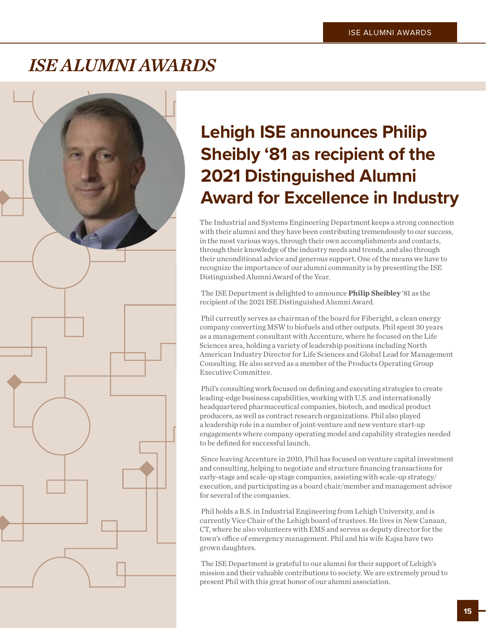### *ISE ALUMNI AWARDS*



### **Lehigh ISE announces Philip Sheibly '81 as recipient of the 2021 Distinguished Alumni Award for Excellence in Industry**

The Industrial and Systems Engineering Department keeps a strong connection with their alumni and they have been contributing tremendously to our success, in the most various ways, through their own accomplishments and contacts, through their knowledge of the industry needs and trends, and also through their unconditional advice and generous support. One of the means we have to recognize the importance of our alumni community is by presenting the ISE Distinguished Alumni Award of the Year.

 The ISE Department is delighted to announce **Philip Sheibley** '81 as the recipient of the 2021 ISE Distinguished Alumni Award.

 Phil currently serves as chairman of the board for Fiberight, a clean energy company converting MSW to biofuels and other outputs. Phil spent 30 years as a management consultant with Accenture, where he focused on the Life Sciences area, holding a variety of leadership positions including North American Industry Director for Life Sciences and Global Lead for Management Consulting. He also served as a member of the Products Operating Group Executive Committee.

 Phil's consulting work focused on defining and executing strategies to create leading-edge business capabilities, working with U.S. and internationally headquartered pharmaceutical companies, biotech, and medical product producers, as well as contract research organizations. Phil also played a leadership role in a number of joint-venture and new venture start-up engagements where company operating model and capability strategies needed to be defined for successful launch.

 Since leaving Accenture in 2010, Phil has focused on venture capital investment and consulting, helping to negotiate and structure financing transactions for early-stage and scale-up stage companies, assisting with scale-up strategy/ execution, and participating as a board chair/member and management advisor for several of the companies.

 Phil holds a B.S. in Industrial Engineering from Lehigh University, and is currently Vice Chair of the Lehigh board of trustees. He lives in New Canaan, CT, where he also volunteers with EMS and serves as deputy director for the town's office of emergency management. Phil and his wife Kajsa have two grown daughters.

 The ISE Department is grateful to our alumni for their support of Lehigh's mission and their valuable contributions to society. We are extremely proud to present Phil with this great honor of our alumni association.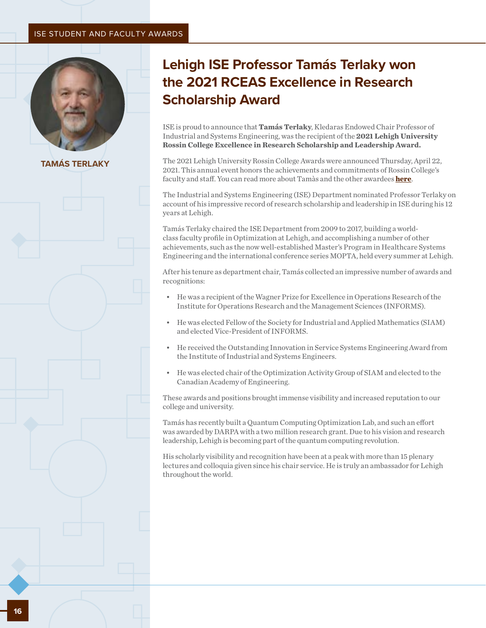#### ISE STUDENT AND FACULTY AWARDS



**TAMÁS TERLAKY**

### **Lehigh ISE Professor Tamás Terlaky won the 2021 RCEAS Excellence in Research Scholarship Award**

ISE is proud to announce that **Tamás Terlaky**, Kledaras Endowed Chair Professor of Industrial and Systems Engineering, was the recipient of the **2021 Lehigh University Rossin College Excellence in Research Scholarship and Leadership Award.**

The 2021 Lehigh University Rossin College Awards were announced Thursday, April 22, 2021. This annual event honors the achievements and commitments of Rossin College's faculty and staff. You can read more about Tamàs and the other awardees **[here](https://engineering.lehigh.edu/rossin-awards)**.

The Industrial and Systems Engineering (ISE) Department nominated Professor Terlaky on account of his impressive record of research scholarship and leadership in ISE during his 12 years at Lehigh.

Tamás Terlaky chaired the ISE Department from 2009 to 2017, building a worldclass faculty profile in Optimization at Lehigh, and accomplishing a number of other achievements, such as the now well-established Master's Program in Healthcare Systems Engineering and the international conference series MOPTA, held every summer at Lehigh.

After his tenure as department chair, Tamás collected an impressive number of awards and recognitions:

- He was a recipient of the Wagner Prize for Excellence in Operations Research of the Institute for Operations Research and the Management Sciences (INFORMS).
- He was elected Fellow of the Society for Industrial and Applied Mathematics (SIAM) and elected Vice-President of INFORMS.
- He received the Outstanding Innovation in Service Systems Engineering Award from the Institute of Industrial and Systems Engineers.
- He was elected chair of the Optimization Activity Group of SIAM and elected to the Canadian Academy of Engineering.

These awards and positions brought immense visibility and increased reputation to our college and university.

Tamás has recently built a Quantum Computing Optimization Lab, and such an effort was awarded by DARPA with a two million research grant. Due to his vision and research leadership, Lehigh is becoming part of the quantum computing revolution.

His scholarly visibility and recognition have been at a peak with more than 15 plenary lectures and colloquia given since his chair service. He is truly an ambassador for Lehigh throughout the world.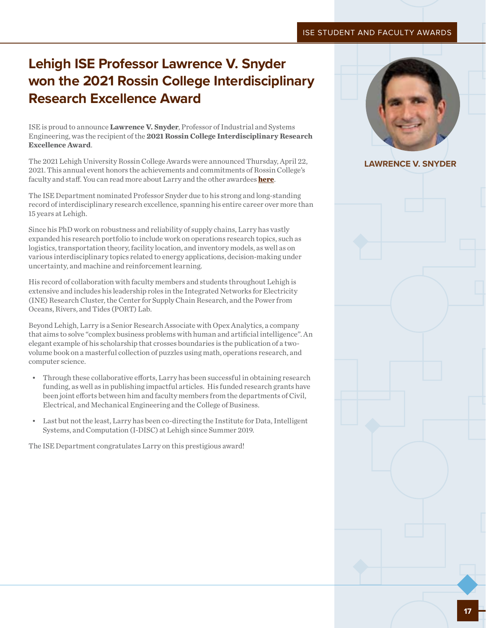### **Lehigh ISE Professor Lawrence V. Snyder won the 2021 Rossin College Interdisciplinary Research Excellence Award**

ISE is proud to announce **Lawrence V. Snyder**, Professor of Industrial and Systems Engineering, was the recipient of the **2021 Rossin College Interdisciplinary Research Excellence Award**.

The 2021 Lehigh University Rossin College Awards were announced Thursday, April 22, 2021. This annual event honors the achievements and commitments of Rossin College's faculty and staff. You can read more about Larry and the other awardees **[here](https://engineering.lehigh.edu/rossin-awards)**.

The ISE Department nominated Professor Snyder due to his strong and long-standing record of interdisciplinary research excellence, spanning his entire career over more than 15 years at Lehigh.

Since his PhD work on robustness and reliability of supply chains, Larry has vastly expanded his research portfolio to include work on operations research topics, such as logistics, transportation theory, facility location, and inventory models, as well as on various interdisciplinary topics related to energy applications, decision-making under uncertainty, and machine and reinforcement learning.

His record of collaboration with faculty members and students throughout Lehigh is extensive and includes his leadership roles in the Integrated Networks for Electricity (INE) Research Cluster, the Center for Supply Chain Research, and the Power from Oceans, Rivers, and Tides (PORT) Lab.

Beyond Lehigh, Larry is a Senior Research Associate with Opex Analytics, a company that aims to solve "complex business problems with human and artificial intelligence". An elegant example of his scholarship that crosses boundaries is the publication of a twovolume book on a masterful collection of puzzles using math, operations research, and computer science.

- Through these collaborative efforts, Larry has been successful in obtaining research funding, as well as in publishing impactful articles. His funded research grants have been joint efforts between him and faculty members from the departments of Civil, Electrical, and Mechanical Engineering and the College of Business.
- Last but not the least, Larry has been co-directing the Institute for Data, Intelligent Systems, and Computation (I-DISC) at Lehigh since Summer 2019.

The ISE Department congratulates Larry on this prestigious award!



### **LAWRENCE V. SNYDER**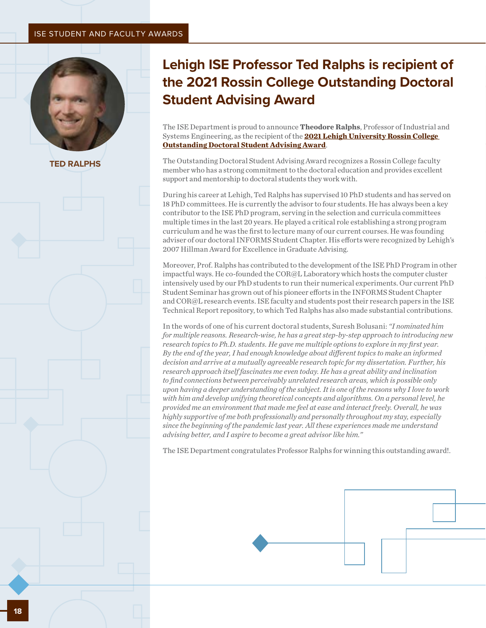### ISE STUDENT AND FACULTY AWARDS



**TED RALPHS**

### **Lehigh ISE Professor Ted Ralphs is recipient of the 2021 Rossin College Outstanding Doctoral Student Advising Award**

The ISE Department is proud to announce **Theodore Ralphs**, Professor of Industrial and Systems Engineering, as the recipient of the **[2021 Lehigh University Rossin College](https://engineering.lehigh.edu/rossin-awards)  [Outstanding Doctoral Student Advising Award](https://engineering.lehigh.edu/rossin-awards)**.

The Outstanding Doctoral Student Advising Award recognizes a Rossin College faculty member who has a strong commitment to the doctoral education and provides excellent support and mentorship to doctoral students they work with.

During his career at Lehigh, Ted Ralphs has supervised 10 PhD students and has served on 18 PhD committees. He is currently the advisor to four students. He has always been a key contributor to the ISE PhD program, serving in the selection and curricula committees multiple times in the last 20 years. He played a critical role establishing a strong program curriculum and he was the first to lecture many of our current courses. He was founding adviser of our doctoral INFORMS Student Chapter. His efforts were recognized by Lehigh's 2007 Hillman Award for Excellence in Graduate Advising.

Moreover, Prof. Ralphs has contributed to the development of the ISE PhD Program in other impactful ways. He co-founded the COR@L Laboratory which hosts the computer cluster intensively used by our PhD students to run their numerical experiments. Our current PhD Student Seminar has grown out of his pioneer efforts in the INFORMS Student Chapter and COR@L research events. ISE faculty and students post their research papers in the ISE Technical Report repository, to which Ted Ralphs has also made substantial contributions.

In the words of one of his current doctoral students, Suresh Bolusani: *"I nominated him for multiple reasons. Research-wise, he has a great step-by-step approach to introducing new research topics to Ph.D. students. He gave me multiple options to explore in my first year. By the end of the year, I had enough knowledge about different topics to make an informed decision and arrive at a mutually agreeable research topic for my dissertation. Further, his research approach itself fascinates me even today. He has a great ability and inclination to find connections between perceivably unrelated research areas, which is possible only upon having a deeper understanding of the subject. It is one of the reasons why I love to work with him and develop unifying theoretical concepts and algorithms. On a personal level, he provided me an environment that made me feel at ease and interact freely. Overall, he was highly supportive of me both professionally and personally throughout my stay, especially since the beginning of the pandemic last year. All these experiences made me understand advising better, and I aspire to become a great advisor like him."*

The ISE Department congratulates Professor Ralphs for winning this outstanding award!.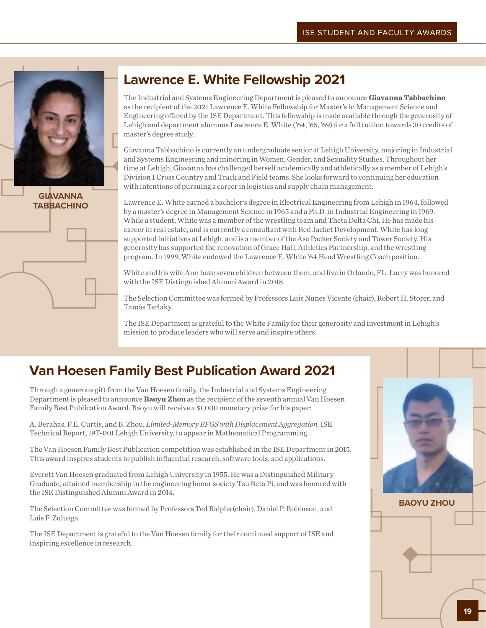

### **GIAVANNA TABBACHINO**

### **Lawrence E. White Fellowship 2021**

The Industrial and Systems Engineering Department is pleased to announce **Giavanna Tabbachino** as the recipient of the 2021 Lawrence E. White Fellowship for Master's in Management Science and Engineering offered by the ISE Department. This fellowship is made available through the generosity of Lehigh and department alumnus Lawrence E. White ('64, '65, '69) for a full tuition towards 30 credits of master's degree study.

Giavanna Tabbachino is currently an undergraduate senior at Lehigh University, majoring in Industrial and Systems Engineering and minoring in Women, Gender, and Sexuality Studies. Throughout her time at Lehigh, Giavanna has challenged herself academically and athletically as a member of Lehigh's Division I Cross Country and Track and Field teams. She looks forward to continuing her education with intentions of pursuing a career in logistics and supply chain management.

Lawrence E. White earned a bachelor's degree in Electrical Engineering from Lehigh in 1964, followed by a master's degree in Management Science in 1965 and a Ph.D. in Industrial Engineering in 1969. While a student, White was a member of the wrestling team and Theta Delta Chi. He has made his career in real estate, and is currently a consultant with Red Jacket Development. White has long supported initiatives at Lehigh, and is a member of the Asa Packer Society and Tower Society. His generosity has supported the renovation of Grace Hall, Athletics Partnership, and the wrestling program. In 1999, White endowed the Lawrence E. White '64 Head Wrestling Coach position.

White and his wife Ann have seven children between them, and live in Orlando, FL. Larry was honored with the ISE Distinguished Alumni Award in 2018.

The Selection Committee was formed by Professors Luis Nunes Vicente (chair), Robert H. Storer, and Tamás Terlaky.

The ISE Department is grateful to the White Family for their generosity and investment in Lehigh's mission to produce leaders who will serve and inspire others.

### **Van Hoesen Family Best Publication Award 2021**

Through a generous gift from the Van Hoesen family, the Industrial and Systems Engineering Department is pleased to announce **Baoyu Zhou** as the recipient of the seventh annual Van Hoesen Family Best Publication Award. Baoyu will receive a \$1,000 monetary prize for his paper:

A. Berahas, F.E. Curtis, and B. Zhou, *Limited-Memory BFGS with Displacement Aggregation*. ISE Technical Report, 19T-001 Lehigh University, to appear in Mathematical Programming.

The Van Hoesen Family Best Publication competition was established in the ISE Department in 2015. This award inspires students to publish influential research, software tools, and applications.

Everett Van Hoesen graduated from Lehigh University in 1955. He was a Distinguished Military Graduate, attained membership in the engineering honor society Tau Beta Pi, and was honored with the ISE Distinguished Alumni Award in 2014.

The Selection Committee was formed by Professors Ted Ralphs (chair), Daniel P. Robinson, and Luis F. Zuluaga.

The ISE Department is grateful to the Van Hoesen family for their continued support of ISE and inspiring excellence in research.



**BAOYU ZHOU**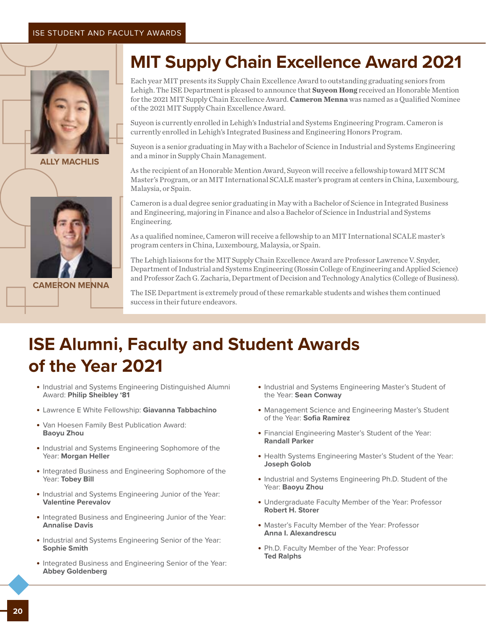

**ALLY MACHLIS**



**CAMERON MENNA**

### **MIT Supply Chain Excellence Award 2021**

Each year MIT presents its Supply Chain Excellence Award to outstanding graduating seniors from Lehigh. The ISE Department is pleased to announce that **Suyeon Hong** received an Honorable Mention for the 2021 MIT Supply Chain Excellence Award. **Cameron Menna** was named as a Qualified Nominee of the 2021 MIT Supply Chain Excellence Award.

Suyeon is currently enrolled in Lehigh's Industrial and Systems Engineering Program. Cameron is currently enrolled in Lehigh's Integrated Business and Engineering Honors Program.

Suyeon is a senior graduating in May with a Bachelor of Science in Industrial and Systems Engineering and a minor in Supply Chain Management.

As the recipient of an Honorable Mention Award, Suyeon will receive a fellowship toward MIT SCM Master's Program, or an MIT International SCALE master's program at centers in China, Luxembourg, Malaysia, or Spain.

Cameron is a dual degree senior graduating in May with a Bachelor of Science in Integrated Business and Engineering, majoring in Finance and also a Bachelor of Science in Industrial and Systems Engineering.

As a qualified nominee, Cameron will receive a fellowship to an MIT International SCALE master's program centers in China, Luxembourg, Malaysia, or Spain.

The Lehigh liaisons for the MIT Supply Chain Excellence Award are Professor Lawrence V. Snyder, Department of Industrial and Systems Engineering (Rossin College of Engineering and Applied Science) and Professor Zach G. Zacharia, Department of Decision and Technology Analytics (College of Business).

The ISE Department is extremely proud of these remarkable students and wishes them continued success in their future endeavors.

### **ISE Alumni, Faculty and Student Awards of the Year 2021**

- **•** Industrial and Systems Engineering Distinguished Alumni Award: **Philip Sheibley '81**
- **•** Lawrence E White Fellowship: **Giavanna Tabbachino**
- **•** Van Hoesen Family Best Publication Award: **Baoyu Zhou**
- **•** Industrial and Systems Engineering Sophomore of the Year: **Morgan Heller**
- **•** Integrated Business and Engineering Sophomore of the Year: **Tobey Bill**
- **•** Industrial and Systems Engineering Junior of the Year: **Valentine Perevalov**
- **•** Integrated Business and Engineering Junior of the Year: **Annalise Davis**
- **•** Industrial and Systems Engineering Senior of the Year: **Sophie Smith**
- **•** Integrated Business and Engineering Senior of the Year: **Abbey Goldenberg**
- **•** Industrial and Systems Engineering Master's Student of the Year: **Sean Conway**
- **•** Management Science and Engineering Master's Student of the Year: **Sofia Ramirez**
- **•** Financial Engineering Master's Student of the Year: **Randall Parker**
- **•** Health Systems Engineering Master's Student of the Year: **Joseph Golob**
- **•** Industrial and Systems Engineering Ph.D. Student of the Year: **Baoyu Zhou**
- **•** Undergraduate Faculty Member of the Year: Professor **Robert H. Storer**
- **•** Master's Faculty Member of the Year: Professor **Anna I. Alexandrescu**
- **•** Ph.D. Faculty Member of the Year: Professor **Ted Ralphs**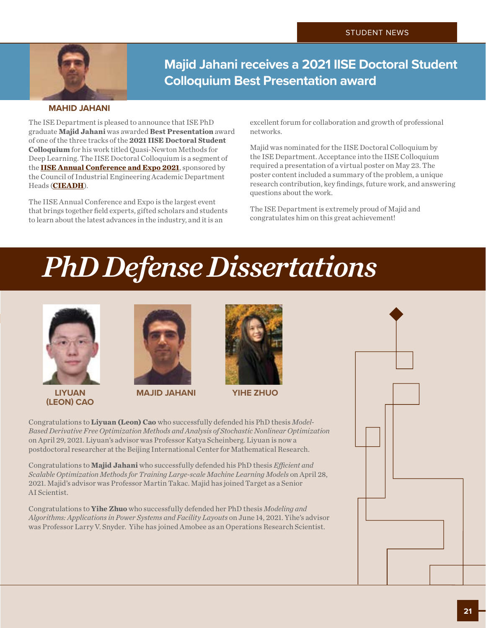

**Majid Jahani receives a 2021 IISE Doctoral Student Colloquium Best Presentation award**

### **MAHID JAHANI**

The ISE Department is pleased to announce that ISE PhD graduate **Majid Jahani** was awarded **Best Presentation** award of one of the three tracks of the **2021 IISE Doctoral Student Colloquium** for his work titled Quasi-Newton Methods for Deep Learning. The IISE Doctoral Colloquium is a segment of the **[IISE Annual Conference and Expo 2021](https://www.iise.org/Annual/)**, sponsored by the Council of Industrial Engineering Academic Department Heads (**[CIEADH](https://www.iise.org/details.aspx?id=328)**).

The IISE Annual Conference and Expo is the largest event that brings together field experts, gifted scholars and students to learn about the latest advances in the industry, and it is an

excellent forum for collaboration and growth of professional networks.

Majid was nominated for the IISE Doctoral Colloquium by the ISE Department. Acceptance into the IISE Colloquium required a presentation of a virtual poster on May 23. The poster content included a summary of the problem, a unique research contribution, key findings, future work, and answering questions about the work.

The ISE Department is extremely proud of Majid and congratulates him on this great achievement!

# *PhD Defense Dissertations*



**LIYUAN (LEON) CAO**





**MAJID JAHANI YIHE ZHUO**

Congratulations to **Liyuan (Leon) Cao** who successfully defended his PhD thesis *Model-Based Derivative Free Optimization Methods and Analysis of Stochastic Nonlinear Optimization* on April 29, 2021. Liyuan's advisor was Professor Katya Scheinberg. Liyuan is now a postdoctoral researcher at the Beijing International Center for Mathematical Research.

Congratulations to **Majid Jahani** who successfully defended his PhD thesis *Efficient and Scalable Optimization Methods for Training Large-scale Machine Learning Models* on April 28, 2021. Majid's advisor was Professor Martin Takac. Majid has joined Target as a Senior AI Scientist.

Congratulations to **Yihe Zhuo** who successfully defended her PhD thesis *Modeling and Algorithms: Applications in Power Systems and Facility Layouts* on June 14, 2021. Yihe's advisor was Professor Larry V. Snyder. Yihe has joined Amobee as an Operations Research Scientist.

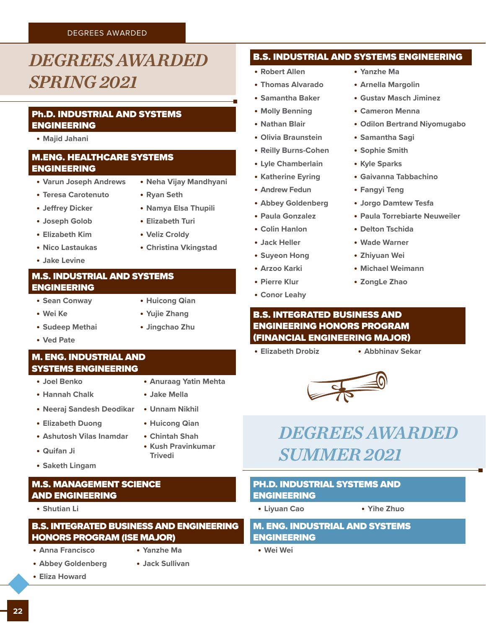### DEGREES AWARDED

### <span id="page-21-0"></span>*DEGREES AWARDED SPRING 2021*

### Ph.D. INDUSTRIAL AND SYSTEMS ENGINEERING

**• Majid Jahani**

### M.ENG. HEALTHCARE SYSTEMS ENGINEERING

- **• Varun Joseph Andrews • Neha Vijay Mandhyani**
- **• Teresa Carotenuto • Ryan Seth**
- 
- **• Jeffrey Dicker • Namya Elsa Thupili**
- **• Joseph Golob • Elizabeth Turi**
- **• Elizabeth Kim • Veliz Croldy**
- 
- **• Jake Levine**

### M.S. INDUSTRIAL AND SYSTEMS ENGINEERING

- **• Sean Conway • Huicong Qian**
	-
- **• Wei Ke • Yujie Zhang**
- **• Sudeep Methai • Jingchao Zhu**
- **• Ved Pate**

### M. ENG. INDUSTRIAL AND SYSTEMS ENGINEERING

- **• Joel Benko • Anuraag Yatin Mehta**
- **• Hannah Chalk • Jake Mella**
- **• Neeraj Sandesh Deodikar • Unnam Nikhil**
- **• Elizabeth Duong • Huicong Qian**
- **• Ashutosh Vilas Inamdar • Chintah Shah**
- **• Quifan Ji • Kush Pravinkumar**
- **• Saketh Lingam**

### M.S. MANAGEMENT SCIENCE AND ENGINEERING

**• Shutian Li**

### B.S. INTEGRATED BUSINESS AND ENGINEERING HONORS PROGRAM (ISE MAJOR)

- **• Anna Francisco • Yanzhe Ma**
	-
- 
- 

**Trivedi**

### **• Abbey Goldenberg • Jack Sullivan**

**• Eliza Howard**

- B.S. INDUSTRIAL AND SYSTEMS ENGINEERING
- **• Robert Allen • Yanzhe Ma**
- **• Thomas Alvarado • Arnella Margolin**
- 
- 
- 
- **• Olivia Braunstein • Samantha Sagi**
- **• Reilly Burns-Cohen • Sophie Smith**
- **• Lyle Chamberlain • Kyle Sparks**
- 
- **• Andrew Fedun • Fangyi Teng**
- 
- 
- 
- 
- **• Suyeon Hong • Zhiyuan Wei**
- 
- 
- **• Conor Leahy**
- 
- 
- **• Samantha Baker • Gustav Masch Jiminez**
- **• Molly Benning • Cameron Menna**
- **• Nathan Blair • Odilon Bertrand Niyomugabo**
	-
	-
	-
- **• Katherine Eyring • Gaivanna Tabbachino**
	-
- **• Abbey Goldenberg • Jorgo Damtew Tesfa**
- **• Paula Gonzalez • Paula Torrebiarte Neuweiler**
- **• Colin Hanlon • Delton Tschida**
- **• Jack Heller • Wade Warner**
	-
- **• Arzoo Karki • Michael Weimann**
- **• Pierre Klur • ZongLe Zhao**

### B.S. INTEGRATED BUSINESS AND ENGINEERING HONORS PROGRAM (FINANCIAL ENGINEERING MAJOR)

**• Elizabeth Drobiz • Abbhinav Sekar**





### *DEGREES AWARDED SUMMER 2021*

### PH.D. INDUSTRIAL SYSTEMS AND ENGINEERING

- **• Liyuan Cao • Yihe Zhuo**
	-

### M. ENG. INDUSTRIAL AND SYSTEMS ENGINEERING

**• Wei Wei**

- 
- 
- -
- **• Nico Lastaukas • Christina Vkingstad**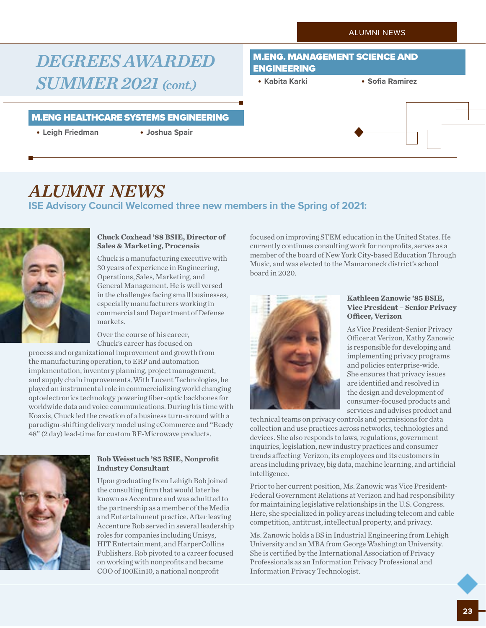### <span id="page-22-0"></span>*DEGREES AWARDED SUMMER 2021 (cont.)*

### M.ENG HEALTHCARE SYSTEMS ENGINEERING

**• Leigh Friedman • Joshua Spair**

### M.ENG. MANAGEMENT SCIENCE AND ENGINEERING

**• Kabita Karki • Sofia Ramirez**



### *ALUMNI NEWS* **ISE Advisory Council Welcomed three new members in the Spring of 2021:**



#### **Chuck Coxhead '88 BSIE, Director of Sales & Marketing, Procensis**

Chuck is a manufacturing executive with 30 years of experience in Engineering, Operations, Sales, Marketing, and General Management. He is well versed in the challenges facing small businesses, especially manufacturers working in commercial and Department of Defense markets.

Over the course of his career, Chuck's career has focused on

process and organizational improvement and growth from the manufacturing operation, to ERP and automation implementation, inventory planning, project management, and supply chain improvements. With Lucent Technologies, he played an instrumental role in commercializing world changing optoelectronics technology powering fiber-optic backbones for worldwide data and voice communications. During his time with Koaxis, Chuck led the creation of a business turn-around with a paradigm-shifting delivery model using eCommerce and "Ready 48" (2 day) lead-time for custom RF-Microwave products.



### **Rob Weisstuch '85 BSIE, Nonprofit Industry Consultant**

Upon graduating from Lehigh Rob joined the consulting firm that would later be known as Accenture and was admitted to the partnership as a member of the Media and Entertainment practice. After leaving Accenture Rob served in several leadership roles for companies including Unisys, HIT Entertainment, and HarperCollins Publishers. Rob pivoted to a career focused on working with nonprofits and became COO of 100Kin10, a national nonprofit

focused on improving STEM education in the United States. He currently continues consulting work for nonprofits, serves as a member of the board of New York City-based Education Through Music, and was elected to the Mamaroneck district's school board in 2020.



### **Kathleen Zanowic '85 BSIE, Vice President – Senior Privacy Officer, Verizon**

As Vice President-Senior Privacy Officer at Verizon, Kathy Zanowic is responsible for developing and implementing privacy programs and policies enterprise-wide. She ensures that privacy issues are identified and resolved in the design and development of consumer-focused products and services and advises product and

technical teams on privacy controls and permissions for data collection and use practices across networks, technologies and devices. She also responds to laws, regulations, government inquiries, legislation, new industry practices and consumer trends affecting Verizon, its employees and its customers in areas including privacy, big data, machine learning, and artificial intelligence.

Prior to her current position, Ms. Zanowic was Vice President-Federal Government Relations at Verizon and had responsibility for maintaining legislative relationships in the U.S. Congress. Here, she specialized in policy areas including telecom and cable competition, antitrust, intellectual property, and privacy.

Ms. Zanowic holds a BS in Industrial Engineering from Lehigh University and an MBA from George Washington University. She is certified by the International Association of Privacy Professionals as an Information Privacy Professional and Information Privacy Technologist.